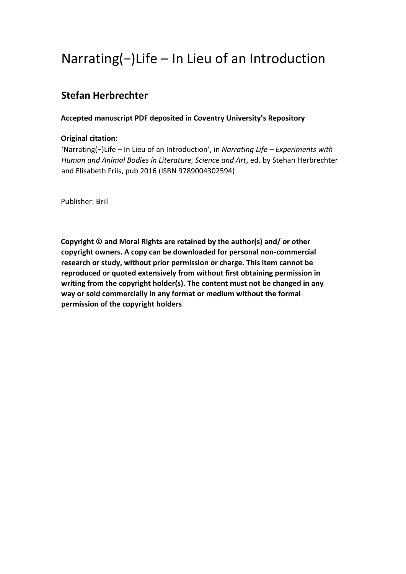# Narrating(−)Life – In Lieu of an Introduction

# **Stefan Herbrechter**

**Accepted manuscript PDF deposited in Coventry University's Repository** 

# **Original citation:**

'Narrating(−)Life – In Lieu of an Introduction', in *Narrating Life – Experiments with Human and Animal Bodies in Literature, Science and Art*, ed. by Stehan Herbrechter and Elisabeth Friis, pub 2016 (ISBN 9789004302594)

Publisher: Brill

**Copyright © and Moral Rights are retained by the author(s) and/ or other copyright owners. A copy can be downloaded for personal non-commercial research or study, without prior permission or charge. This item cannot be reproduced or quoted extensively from without first obtaining permission in writing from the copyright holder(s). The content must not be changed in any way or sold commercially in any format or medium without the formal permission of the copyright holders**.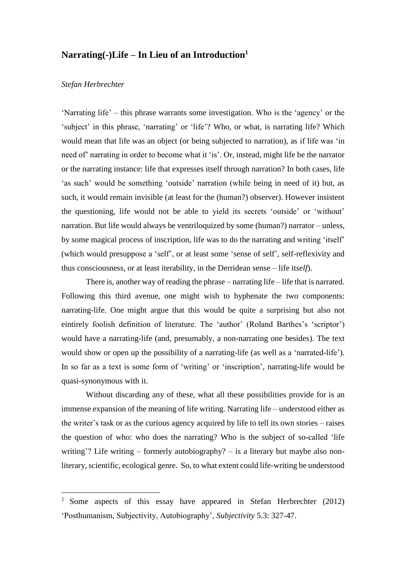## **Narrating(-)Life – In Lieu of an Introduction<sup>1</sup>**

#### *Stefan Herbrechter*

 $\overline{a}$ 

'Narrating life' – this phrase warrants some investigation. Who is the 'agency' or the 'subject' in this phrase, 'narrating' or 'life'? Who, or what, is narrating life? Which would mean that life was an object (or being subjected to narration), as if life was 'in need of' narrating in order to become what it 'is'. Or, instead, might life be the narrator or the narrating instance: life that expresses itself through narration? In both cases, life 'as such' would be something 'outside' narration (while being in need of it) but, as such, it would remain invisible (at least for the (human?) observer). However insistent the questioning, life would not be able to yield its secrets 'outside' or 'without' narration. But life would always be ventriloquized by some (human?) narrator – unless, by some magical process of inscription, life was to do the narrating and writing 'itself' (which would presuppose a 'self', or at least some 'sense of self', self-reflexivity and thus consciousness, or at least iterability, in the Derridean sense – life it*self*).

There is, another way of reading the phrase – narrating life – life that is narrated. Following this third avenue, one might wish to hyphenate the two components: narrating-life. One might argue that this would be quite a surprising but also not eintirely foolish definition of literature. The 'author' (Roland Barthes's 'scriptor') would have a narrating-life (and, presumably, a non-narrating one besides). The text would show or open up the possibility of a narrating-life (as well as a 'narrated-life'). In so far as a text is some form of 'writing' or 'inscription', narrating-life would be quasi-synonymous with it.

Without discarding any of these, what all these possibilities provide for is an immense expansion of the meaning of life writing. Narrating life – understood either as the writer's task or as the curious agency acquired by life to tell its own stories – raises the question of who: who does the narrating? Who is the subject of so-called 'life writing'? Life writing – formerly autobiography? – is a literary but maybe also nonliterary, scientific, ecological genre. So, to what extent could life-writing be understood

<sup>&</sup>lt;sup>1</sup> Some aspects of this essay have appeared in Stefan Herbrechter (2012) 'Posthumanism, Subjectivity, Autobiography', *Subjectivity* 5.3: 327-47.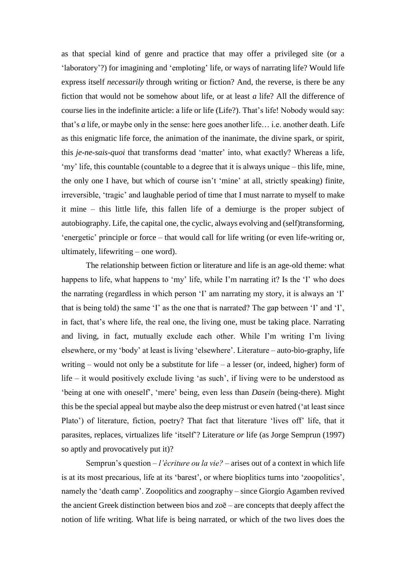as that special kind of genre and practice that may offer a privileged site (or a 'laboratory'?) for imagining and 'emploting' life, or ways of narrating life? Would life express itself *necessarily* through writing or fiction? And, the reverse, is there be any fiction that would not be somehow about life, or at least *a* life? All the difference of course lies in the indefinite article: a life or life (Life?). That's life! Nobody would say: that's *a* life, or maybe only in the sense: here goes another life… i.e. another death. Life as this enigmatic life force, the animation of the inanimate, the divine spark, or spirit, this *je-ne-sais-quoi* that transforms dead 'matter' into, what exactly? Whereas a life, 'my' life, this countable (countable to a degree that it is always unique – this life, mine, the only one I have, but which of course isn't 'mine' at all, strictly speaking) finite, irreversible, 'tragic' and laughable period of time that I must narrate to myself to make it mine – this little life, this fallen life of a demiurge is the proper subject of autobiography. Life, the capital one, the cyclic, always evolving and (self)transforming, 'energetic' principle or force – that would call for life writing (or even life-writing or, ultimately, lifewriting – one word).

The relationship between fiction or literature and life is an age-old theme: what happens to life, what happens to 'my' life, while I'm narrating it? Is the 'I' who does the narrating (regardless in which person 'I' am narrating my story, it is always an 'I' that is being told) the same 'I' as the one that is narrated? The gap between 'I' and 'I', in fact, that's where life, the real one, the living one, must be taking place. Narrating and living, in fact, mutually exclude each other. While I'm writing I'm living elsewhere, or my 'body' at least is living 'elsewhere'. Literature – auto-bio-graphy, life writing – would not only be a substitute for life – a lesser (or, indeed, higher) form of life – it would positively exclude living 'as such', if living were to be understood as 'being at one with oneself', 'mere' being, even less than *Dasein* (being-there). Might this be the special appeal but maybe also the deep mistrust or even hatred ('at least since Plato') of literature, fiction, poetry? That fact that literature 'lives off' life, that it parasites, replaces, virtualizes life 'itself'? Literature *or* life (as Jorge Semprun (1997) so aptly and provocatively put it)?

Semprun's question – *l'écriture ou la vie?* – arises out of a context in which life is at its most precarious, life at its 'barest', or where bioplitics turns into 'zoopolitics', namely the 'death camp'. Zoopolitics and zoography – since Giorgio Agamben revived the ancient Greek distinction between bios and zoē – are concepts that deeply affect the notion of life writing. What life is being narrated, or which of the two lives does the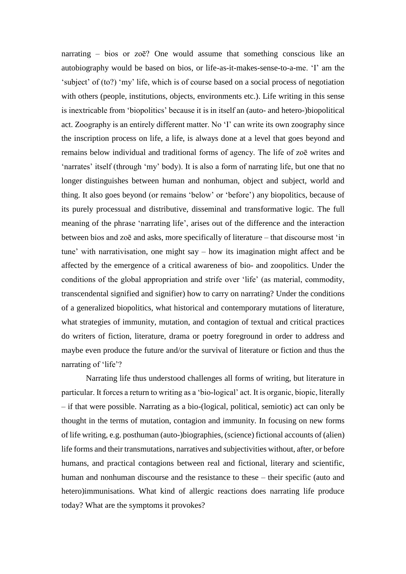narrating – bios or zoē? One would assume that something conscious like an autobiography would be based on bios, or life-as-it-makes-sense-to-a-me. 'I' am the 'subject' of (to?) 'my' life, which is of course based on a social process of negotiation with others (people, institutions, objects, environments etc.). Life writing in this sense is inextricable from 'biopolitics' because it is in itself an (auto- and hetero-)biopolitical act. Zoography is an entirely different matter. No 'I' can write its own zoography since the inscription process on life, a life, is always done at a level that goes beyond and remains below individual and traditional forms of agency. The life of zoē writes and 'narrates' itself (through 'my' body). It is also a form of narrating life, but one that no longer distinguishes between human and nonhuman, object and subject, world and thing. It also goes beyond (or remains 'below' or 'before') any biopolitics, because of its purely processual and distributive, disseminal and transformative logic. The full meaning of the phrase 'narrating life', arises out of the difference and the interaction between bios and zoē and asks, more specifically of literature – that discourse most 'in tune' with narrativisation, one might say – how its imagination might affect and be affected by the emergence of a critical awareness of bio- and zoopolitics. Under the conditions of the global appropriation and strife over 'life' (as material, commodity, transcendental signified and signifier) how to carry on narrating? Under the conditions of a generalized biopolitics, what historical and contemporary mutations of literature, what strategies of immunity, mutation, and contagion of textual and critical practices do writers of fiction, literature, drama or poetry foreground in order to address and maybe even produce the future and/or the survival of literature or fiction and thus the narrating of 'life'?

Narrating life thus understood challenges all forms of writing, but literature in particular. It forces a return to writing as a 'bio-logical' act. It is organic, biopic, literally – if that were possible. Narrating as a bio-(logical, political, semiotic) act can only be thought in the terms of mutation, contagion and immunity. In focusing on new forms of life writing, e.g. posthuman (auto-)biographies, (science) fictional accounts of (alien) life forms and their transmutations, narratives and subjectivities without, after, or before humans, and practical contagions between real and fictional, literary and scientific, human and nonhuman discourse and the resistance to these – their specific (auto and hetero)immunisations. What kind of allergic reactions does narrating life produce today? What are the symptoms it provokes?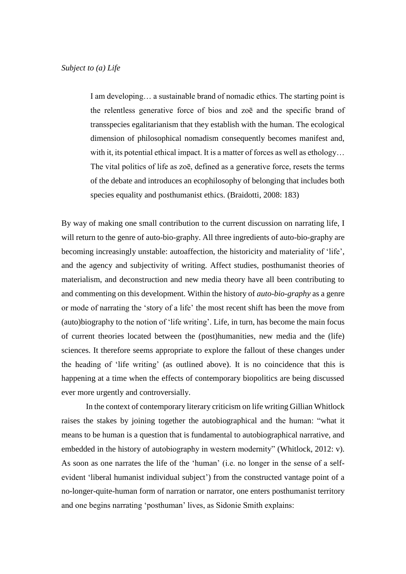I am developing… a sustainable brand of nomadic ethics. The starting point is the relentless generative force of bios and zoē and the specific brand of transspecies egalitarianism that they establish with the human. The ecological dimension of philosophical nomadism consequently becomes manifest and, with it, its potential ethical impact. It is a matter of forces as well as ethology... The vital politics of life as zoē, defined as a generative force, resets the terms of the debate and introduces an ecophilosophy of belonging that includes both species equality and posthumanist ethics. (Braidotti, 2008: 183)

By way of making one small contribution to the current discussion on narrating life, I will return to the genre of auto-bio-graphy. All three ingredients of auto-bio-graphy are becoming increasingly unstable: autoaffection, the historicity and materiality of 'life', and the agency and subjectivity of writing. Affect studies, posthumanist theories of materialism, and deconstruction and new media theory have all been contributing to and commenting on this development. Within the history of *auto-bio-graphy* as a genre or mode of narrating the 'story of a life' the most recent shift has been the move from (auto)biography to the notion of 'life writing'. Life, in turn, has become the main focus of current theories located between the (post)humanities, new media and the (life) sciences. It therefore seems appropriate to explore the fallout of these changes under the heading of 'life writing' (as outlined above). It is no coincidence that this is happening at a time when the effects of contemporary biopolitics are being discussed ever more urgently and controversially.

In the context of contemporary literary criticism on life writing Gillian Whitlock raises the stakes by joining together the autobiographical and the human: "what it means to be human is a question that is fundamental to autobiographical narrative, and embedded in the history of autobiography in western modernity" (Whitlock, 2012: v). As soon as one narrates the life of the 'human' (i.e. no longer in the sense of a selfevident 'liberal humanist individual subject') from the constructed vantage point of a no-longer-quite-human form of narration or narrator, one enters posthumanist territory and one begins narrating 'posthuman' lives, as Sidonie Smith explains: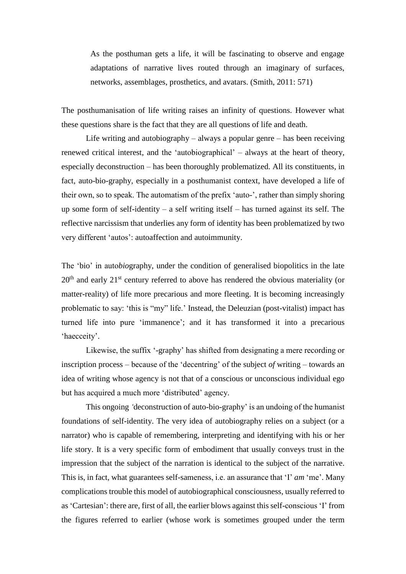As the posthuman gets a life, it will be fascinating to observe and engage adaptations of narrative lives routed through an imaginary of surfaces, networks, assemblages, prosthetics, and avatars. (Smith, 2011: 571)

The posthumanisation of life writing raises an infinity of questions. However what these questions share is the fact that they are all questions of life and death.

Life writing and autobiography – always a popular genre – has been receiving renewed critical interest, and the 'autobiographical' – always at the heart of theory, especially deconstruction – has been thoroughly problematized. All its constituents, in fact, auto-bio-graphy, especially in a posthumanist context, have developed a life of their own, so to speak. The automatism of the prefix 'auto-', rather than simply shoring up some form of self-identity – a self writing itself – has turned against its self. The reflective narcissism that underlies any form of identity has been problematized by two very different 'autos': autoaffection and autoimmunity.

The 'bio' in auto*bio*graphy, under the condition of generalised biopolitics in the late  $20<sup>th</sup>$  and early  $21<sup>st</sup>$  century referred to above has rendered the obvious materiality (or matter-reality) of life more precarious and more fleeting. It is becoming increasingly problematic to say: 'this is "my" life.' Instead, the Deleuzian (post-vitalist) impact has turned life into pure 'immanence'; and it has transformed it into a precarious 'haecceity'.

Likewise, the suffix '-graphy' has shifted from designating a mere recording or inscription process – because of the 'decentring' of the subject *of* writing – towards an idea of writing whose agency is not that of a conscious or unconscious individual ego but has acquired a much more 'distributed' agency.

This ongoing *'*deconstruction of auto-bio-graphy' is an undoing of the humanist foundations of self-identity. The very idea of autobiography relies on a subject (or a narrator) who is capable of remembering, interpreting and identifying with his or her life story. It is a very specific form of embodiment that usually conveys trust in the impression that the subject of the narration is identical to the subject of the narrative. This is, in fact, what guarantees self-sameness, i.e. an assurance that 'I' *am* 'me'. Many complications trouble this model of autobiographical consciousness, usually referred to as 'Cartesian': there are, first of all, the earlier blows against this self-conscious 'I' from the figures referred to earlier (whose work is sometimes grouped under the term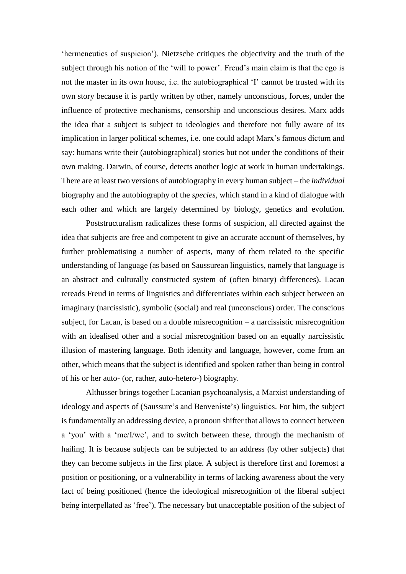'hermeneutics of suspicion'). Nietzsche critiques the objectivity and the truth of the subject through his notion of the 'will to power'. Freud's main claim is that the ego is not the master in its own house, i.e. the autobiographical 'I' cannot be trusted with its own story because it is partly written by other, namely unconscious, forces, under the influence of protective mechanisms, censorship and unconscious desires. Marx adds the idea that a subject is subject to ideologies and therefore not fully aware of its implication in larger political schemes, i.e. one could adapt Marx's famous dictum and say: humans write their (autobiographical) stories but not under the conditions of their own making. Darwin, of course, detects another logic at work in human undertakings. There are at least two versions of autobiography in every human subject – the *individual* biography and the autobiography of the *species*, which stand in a kind of dialogue with each other and which are largely determined by biology, genetics and evolution.

Poststructuralism radicalizes these forms of suspicion, all directed against the idea that subjects are free and competent to give an accurate account of themselves, by further problematising a number of aspects, many of them related to the specific understanding of language (as based on Saussurean linguistics, namely that language is an abstract and culturally constructed system of (often binary) differences). Lacan rereads Freud in terms of linguistics and differentiates within each subject between an imaginary (narcissistic), symbolic (social) and real (unconscious) order. The conscious subject, for Lacan, is based on a double misrecognition – a narcissistic misrecognition with an idealised other and a social misrecognition based on an equally narcissistic illusion of mastering language. Both identity and language, however, come from an other, which means that the subject is identified and spoken rather than being in control of his or her auto- (or, rather, auto-hetero-) biography.

Althusser brings together Lacanian psychoanalysis, a Marxist understanding of ideology and aspects of (Saussure's and Benveniste's) linguistics. For him, the subject is fundamentally an addressing device, a pronoun shifter that allows to connect between a 'you' with a 'me/I/we', and to switch between these, through the mechanism of hailing. It is because subjects can be subjected to an address (by other subjects) that they can become subjects in the first place. A subject is therefore first and foremost a position or positioning, or a vulnerability in terms of lacking awareness about the very fact of being positioned (hence the ideological misrecognition of the liberal subject being interpellated as 'free'). The necessary but unacceptable position of the subject of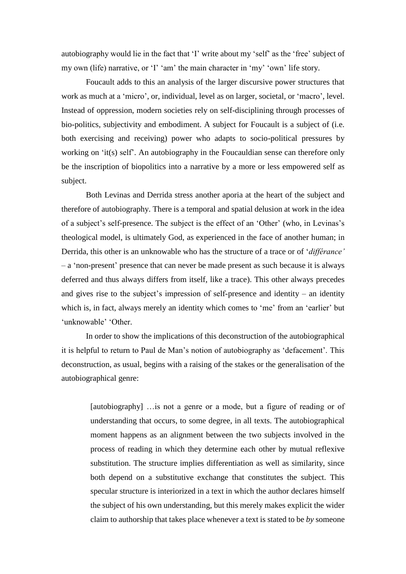autobiography would lie in the fact that 'I' write about my 'self' as the 'free' subject of my own (life) narrative, or 'I' 'am' the main character in 'my' 'own' life story.

Foucault adds to this an analysis of the larger discursive power structures that work as much at a 'micro', or, individual, level as on larger, societal, or 'macro', level. Instead of oppression, modern societies rely on self-disciplining through processes of bio-politics, subjectivity and embodiment. A subject for Foucault is a subject of (i.e. both exercising and receiving) power who adapts to socio-political pressures by working on 'it(s) self'. An autobiography in the Foucauldian sense can therefore only be the inscription of biopolitics into a narrative by a more or less empowered self as subject.

Both Levinas and Derrida stress another aporia at the heart of the subject and therefore of autobiography. There is a temporal and spatial delusion at work in the idea of a subject's self-presence. The subject is the effect of an 'Other' (who, in Levinas's theological model, is ultimately God, as experienced in the face of another human; in Derrida, this other is an unknowable who has the structure of a trace or of '*différance'* – a 'non-present' presence that can never be made present as such because it is always deferred and thus always differs from itself, like a trace). This other always precedes and gives rise to the subject's impression of self-presence and identity – an identity which is, in fact, always merely an identity which comes to 'me' from an 'earlier' but 'unknowable' 'Other.

In order to show the implications of this deconstruction of the autobiographical it is helpful to return to Paul de Man's notion of autobiography as 'defacement'. This deconstruction, as usual, begins with a raising of the stakes or the generalisation of the autobiographical genre:

> [autobiography] ... is not a genre or a mode, but a figure of reading or of understanding that occurs, to some degree, in all texts. The autobiographical moment happens as an alignment between the two subjects involved in the process of reading in which they determine each other by mutual reflexive substitution. The structure implies differentiation as well as similarity, since both depend on a substitutive exchange that constitutes the subject. This specular structure is interiorized in a text in which the author declares himself the subject of his own understanding, but this merely makes explicit the wider claim to authorship that takes place whenever a text is stated to be *by* someone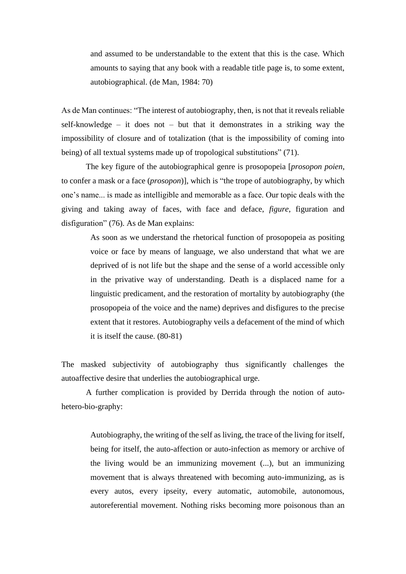and assumed to be understandable to the extent that this is the case. Which amounts to saying that any book with a readable title page is, to some extent, autobiographical. (de Man, 1984: 70)

As de Man continues: "The interest of autobiography, then, is not that it reveals reliable self-knowledge – it does not – but that it demonstrates in a striking way the impossibility of closure and of totalization (that is the impossibility of coming into being) of all textual systems made up of tropological substitutions" (71).

The key figure of the autobiographical genre is prosopopeia [*prosopon poien*, to confer a mask or a face (*prosopon*)], which is "the trope of autobiography, by which one's name... is made as intelligible and memorable as a face. Our topic deals with the giving and taking away of faces, with face and deface, *figure*, figuration and disfiguration" (76). As de Man explains:

> As soon as we understand the rhetorical function of prosopopeia as positing voice or face by means of language, we also understand that what we are deprived of is not life but the shape and the sense of a world accessible only in the privative way of understanding. Death is a displaced name for a linguistic predicament, and the restoration of mortality by autobiography (the prosopopeia of the voice and the name) deprives and disfigures to the precise extent that it restores. Autobiography veils a defacement of the mind of which it is itself the cause. (80-81)

The masked subjectivity of autobiography thus significantly challenges the autoaffective desire that underlies the autobiographical urge.

A further complication is provided by Derrida through the notion of autohetero-bio-graphy:

> Autobiography, the writing of the self as living, the trace of the living for itself, being for itself, the auto-affection or auto-infection as memory or archive of the living would be an immunizing movement (...), but an immunizing movement that is always threatened with becoming auto-immunizing, as is every autos, every ipseity, every automatic, automobile, autonomous, autoreferential movement. Nothing risks becoming more poisonous than an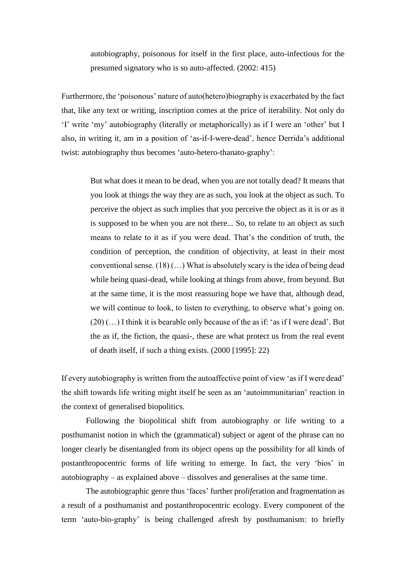autobiography, poisonous for itself in the first place, auto-infectious for the presumed signatory who is so auto-affected. (2002: 415)

Furthermore, the 'poisonous' nature of auto(hetero)biography is exacerbated by the fact that, like any text or writing, inscription comes at the price of iterability. Not only do 'I' write 'my' autobiography (literally or metaphorically) as if I were an 'other' but I also, in writing it, am in a position of 'as-if-I-were-dead', hence Derrida's additional twist: autobiography thus becomes 'auto-hetero-thanato-graphy':

But what does it mean to be dead, when you are not totally dead? It means that you look at things the way they are as such, you look at the object as such. To perceive the object as such implies that you perceive the object as it is or as it is supposed to be when you are not there... So, to relate to an object as such means to relate to it as if you were dead. That's the condition of truth, the condition of perception, the condition of objectivity, at least in their most conventional sense.  $(18)(...)$  What is absolutely scary is the idea of being dead while being quasi-dead, while looking at things from above, from beyond. But at the same time, it is the most reassuring hope we have that, although dead, we will continue to look, to listen to everything, to observe what's going on.  $(20)$  (...) I think it is bearable only because of the as if: 'as if I were dead'. But the as if, the fiction, the quasi-, these are what protect us from the real event of death itself, if such a thing exists. (2000 [1995]: 22)

If every autobiography is written from the autoaffective point of view 'as if I were dead' the shift towards life writing might itself be seen as an 'autoimmunitarian' reaction in the context of generalised biopolitics.

Following the biopolitical shift from autobiography or life writing to a posthumanist notion in which the (grammatical) subject or agent of the phrase can no longer clearly be disentangled from its object opens up the possibility for all kinds of postanthropocentric forms of life writing to emerge. In fact, the very 'bios' in autobiography – as explained above – dissolves and generalises at the same time.

The autobiographic genre thus 'faces' further pro*life*ration and fragmentation as a result of a posthumanist and postanthropocentric ecology. Every component of the term 'auto-bio-graphy' is being challenged afresh by posthumanism: to briefly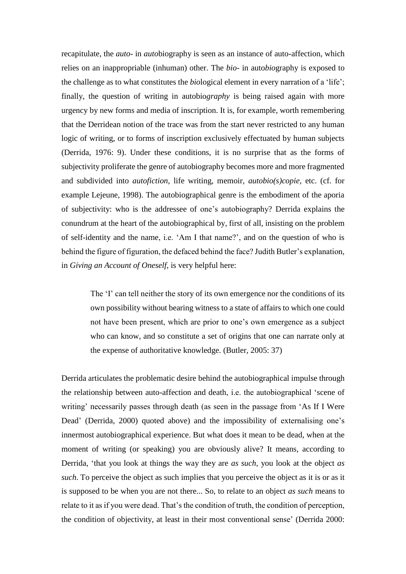recapitulate, the *auto-* in *auto*biography is seen as an instance of auto-affection, which relies on an inappropriable (inhuman) other. The *bio-* in auto*bio*graphy is exposed to the challenge as to what constitutes the *bio*logical element in every narration of a 'life'; finally, the question of writing in autobio*graphy* is being raised again with more urgency by new forms and media of inscription. It is, for example, worth remembering that the Derridean notion of the trace was from the start never restricted to any human logic of writing, or to forms of inscription exclusively effectuated by human subjects (Derrida, 1976: 9). Under these conditions, it is no surprise that as the forms of subjectivity proliferate the genre of autobiography becomes more and more fragmented and subdivided into *autofiction*, life writing, memoir, *autobio(s)copie*, etc. (cf. for example Lejeune, 1998). The autobiographical genre is the embodiment of the aporia of subjectivity: who is the addressee of one's autobiography? Derrida explains the conundrum at the heart of the autobiographical by, first of all, insisting on the problem of self-identity and the name, i.e. 'Am I that name?', and on the question of who is behind the figure of figuration, the defaced behind the face? Judith Butler's explanation, in *Giving an Account of Oneself*, is very helpful here:

> The 'I' can tell neither the story of its own emergence nor the conditions of its own possibility without bearing witness to a state of affairs to which one could not have been present, which are prior to one's own emergence as a subject who can know, and so constitute a set of origins that one can narrate only at the expense of authoritative knowledge. (Butler, 2005: 37)

Derrida articulates the problematic desire behind the autobiographical impulse through the relationship between auto-affection and death, i.e. the autobiographical 'scene of writing' necessarily passes through death (as seen in the passage from 'As If I Were Dead' (Derrida, 2000) quoted above) and the impossibility of externalising one's innermost autobiographical experience. But what does it mean to be dead, when at the moment of writing (or speaking) you are obviously alive? It means, according to Derrida, 'that you look at things the way they are *as such*, you look at the object *as such*. To perceive the object as such implies that you perceive the object as it is or as it is supposed to be when you are not there... So, to relate to an object *as such* means to relate to it as if you were dead. That's the condition of truth, the condition of perception, the condition of objectivity, at least in their most conventional sense' (Derrida 2000: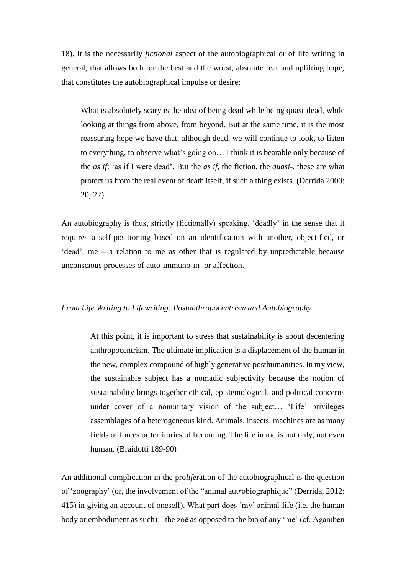18). It is the necessarily *fictional* aspect of the autobiographical or of life writing in general, that allows both for the best and the worst, absolute fear and uplifting hope, that constitutes the autobiographical impulse or desire:

What is absolutely scary is the idea of being dead while being quasi-dead, while looking at things from above, from beyond. But at the same time, it is the most reassuring hope we have that, although dead, we will continue to look, to listen to everything, to observe what's going on… I think it is bearable only because of the *as if*: 'as if I were dead'. But the *as if*, the fiction, the *quasi-*, these are what protect us from the real event of death itself, if such a thing exists. (Derrida 2000: 20, 22)

An autobiography is thus, strictly (fictionally) speaking, 'deadly' in the sense that it requires a self-positioning based on an identification with another, objectified, or 'dead', me – a relation to me as other that is regulated by unpredictable because unconscious processes of auto-immuno-in- or affection.

### *From Life Writing to Lifewriting: Postanthropocentrism and Autobiography*

At this point, it is important to stress that sustainability is about decentering anthropocentrism. The ultimate implication is a displacement of the human in the new, complex compound of highly generative posthumanities. In my view, the sustainable subject has a nomadic subjectivity because the notion of sustainability brings together ethical, epistemological, and political concerns under cover of a nonunitary vision of the subject… 'Life' privileges assemblages of a heterogeneous kind. Animals, insects, machines are as many fields of forces or territories of becoming. The life in me is not only, not even human. (Braidotti 189-90)

An additional complication in the pro*life*ration of the autobiographical is the question of 'zoography' (or, the involvement of the "animal aut*r*obiographique" (Derrida, 2012: 415) in giving an account of oneself). What part does 'my' animal-life (i.e. the human body or embodiment as such) – the zoē as opposed to the bio of any 'me' (cf. Agamben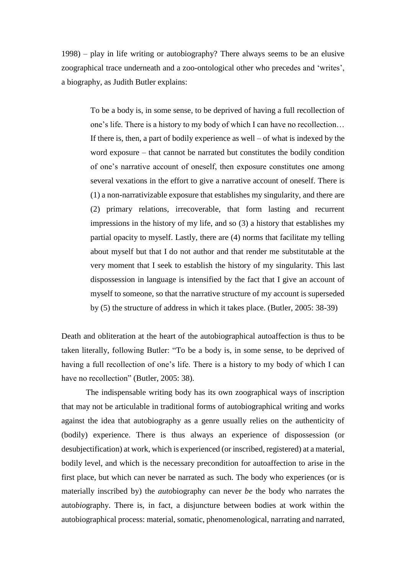1998) – play in life writing or autobiography? There always seems to be an elusive zoographical trace underneath and a zoo-ontological other who precedes and 'writes', a biography, as Judith Butler explains:

> To be a body is, in some sense, to be deprived of having a full recollection of one's life. There is a history to my body of which I can have no recollection… If there is, then, a part of bodily experience as well – of what is indexed by the word exposure – that cannot be narrated but constitutes the bodily condition of one's narrative account of oneself, then exposure constitutes one among several vexations in the effort to give a narrative account of oneself. There is (1) a non-narrativizable exposure that establishes my singularity, and there are (2) primary relations, irrecoverable, that form lasting and recurrent impressions in the history of my life, and so (3) a history that establishes my partial opacity to myself. Lastly, there are (4) norms that facilitate my telling about myself but that I do not author and that render me substitutable at the very moment that I seek to establish the history of my singularity. This last dispossession in language is intensified by the fact that I give an account of myself to someone, so that the narrative structure of my account is superseded by (5) the structure of address in which it takes place. (Butler, 2005: 38-39)

Death and obliteration at the heart of the autobiographical autoaffection is thus to be taken literally, following Butler: "To be a body is, in some sense, to be deprived of having a full recollection of one's life. There is a history to my body of which I can have no recollection" (Butler, 2005: 38).

The indispensable writing body has its own zoographical ways of inscription that may not be articulable in traditional forms of autobiographical writing and works against the idea that autobiography as a genre usually relies on the authenticity of (bodily) experience. There is thus always an experience of dispossession (or desubjectification) at work, which is experienced (or inscribed, registered) at a material, bodily level, and which is the necessary precondition for autoaffection to arise in the first place, but which can never be narrated as such. The body who experiences (or is materially inscribed by) the *auto*biography can never *be* the body who narrates the auto*bio*graphy. There is, in fact, a disjuncture between bodies at work within the autobiographical process: material, somatic, phenomenological, narrating and narrated,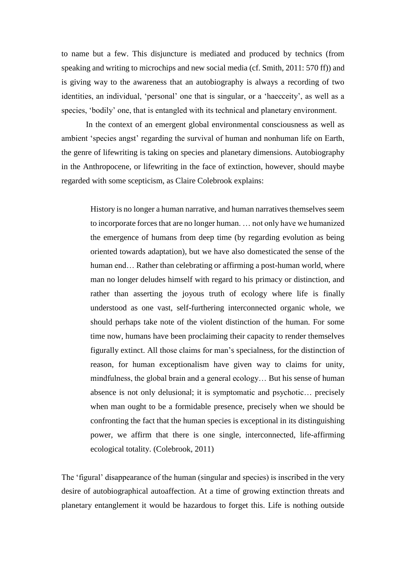to name but a few. This disjuncture is mediated and produced by technics (from speaking and writing to microchips and new social media (cf. Smith, 2011: 570 ff)) and is giving way to the awareness that an autobiography is always a recording of two identities, an individual, 'personal' one that is singular, or a 'haecceity', as well as a species, 'bodily' one, that is entangled with its technical and planetary environment.

In the context of an emergent global environmental consciousness as well as ambient 'species angst' regarding the survival of human and nonhuman life on Earth, the genre of lifewriting is taking on species and planetary dimensions. Autobiography in the Anthropocene, or lifewriting in the face of extinction, however, should maybe regarded with some scepticism, as Claire Colebrook explains:

> History is no longer a human narrative, and human narratives themselves seem to incorporate forces that are no longer human. … not only have we humanized the emergence of humans from deep time (by regarding evolution as being oriented towards adaptation), but we have also domesticated the sense of the human end... Rather than celebrating or affirming a post-human world, where man no longer deludes himself with regard to his primacy or distinction, and rather than asserting the joyous truth of ecology where life is finally understood as one vast, self-furthering interconnected organic whole, we should perhaps take note of the violent distinction of the human. For some time now, humans have been proclaiming their capacity to render themselves figurally extinct. All those claims for man's specialness, for the distinction of reason, for human exceptionalism have given way to claims for unity, mindfulness, the global brain and a general ecology… But his sense of human absence is not only delusional; it is symptomatic and psychotic… precisely when man ought to be a formidable presence, precisely when we should be confronting the fact that the human species is exceptional in its distinguishing power, we affirm that there is one single, interconnected, life-affirming ecological totality. (Colebrook, 2011)

The 'figural' disappearance of the human (singular and species) is inscribed in the very desire of autobiographical autoaffection. At a time of growing extinction threats and planetary entanglement it would be hazardous to forget this. Life is nothing outside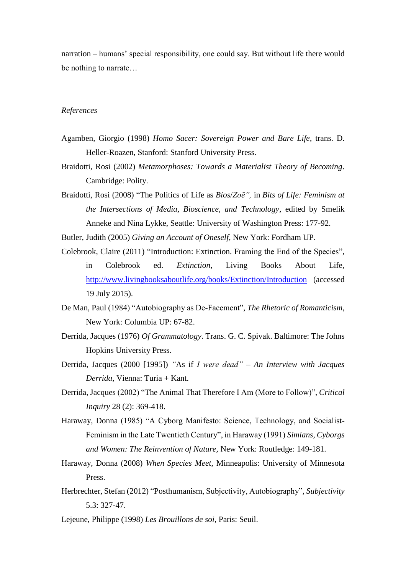narration – humans' special responsibility, one could say. But without life there would be nothing to narrate…

#### *References*

- Agamben, Giorgio (1998) *Homo Sacer: Sovereign Power and Bare Life*, trans. D. Heller-Roazen, Stanford: Stanford University Press.
- Braidotti, Rosi (2002) *Metamorphoses: Towards a Materialist Theory of Becoming*. Cambridge: Polity.
- Braidotti, Rosi (2008) "The Politics of Life as *Bios*/*Zoē",* in *Bits of Life: Feminism at the Intersections of Media, Bioscience, and Technology*, edited by Smelik Anneke and Nina Lykke, Seattle: University of Washington Press: 177-92.

Butler, Judith (2005) *Giving an Account of Oneself*, New York: Fordham UP.

- Colebrook, Claire (2011) "Introduction: Extinction. Framing the End of the Species", in Colebrook ed. *Extinction*, Living Books About Life, <http://www.livingbooksaboutlife.org/books/Extinction/Introduction> (accessed 19 July 2015).
- De Man, Paul (1984) "Autobiography as De-Facement", *The Rhetoric of Romanticism*, New York: Columbia UP: 67-82.
- Derrida, Jacques (1976) *Of Grammatology*. Trans. G. C. Spivak. Baltimore: The Johns Hopkins University Press.
- Derrida, Jacques (2000 [1995]) *"*As if *I were dead" – An Interview with Jacques Derrida*, Vienna: Turia + Kant.
- Derrida, Jacques (2002) "The Animal That Therefore I Am (More to Follow)", *Critical Inquiry* 28 (2): 369-418.
- Haraway, Donna (1985) "A Cyborg Manifesto: Science, Technology, and Socialist-Feminism in the Late Twentieth Century", in Haraway (1991) *Simians, Cyborgs and Women: The Reinvention of Nature,* New York: Routledge: 149-181.
- Haraway, Donna (2008) *When Species Meet*, Minneapolis: University of Minnesota Press.
- Herbrechter, Stefan (2012) "Posthumanism, Subjectivity, Autobiography", *Subjectivity* 5.3: 327-47.
- Lejeune, Philippe (1998) *Les Brouillons de soi*, Paris: Seuil.